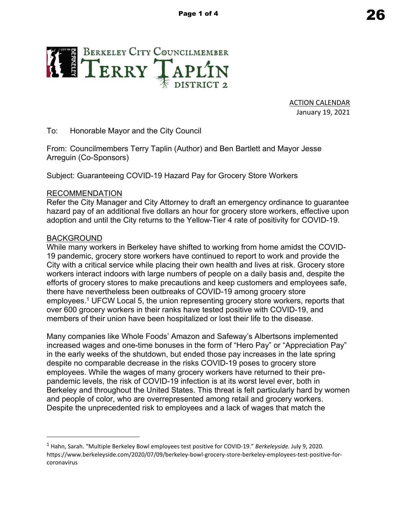

ACTION CALENDAR January 19, 2021

To: Honorable Mayor and the City Council

From: Councilmembers Terry Taplin (Author) and Ben Bartlett and Mayor Jesse Arreguin (Co-Sponsors)

Subject: Guaranteeing COVID-19 Hazard Pay for Grocery Store Workers

## RECOMMENDATION

Refer the City Manager and City Attorney to draft an emergency ordinance to guarantee hazard pay of an additional five dollars an hour for grocery store workers, effective upon adoption and until the City returns to the Yellow-Tier 4 rate of positivity for COVID-19.

## BACKGROUND

While many workers in Berkeley have shifted to working from home amidst the COVID-19 pandemic, grocery store workers have continued to report to work and provide the City with a critical service while placing their own health and lives at risk. Grocery store workers interact indoors with large numbers of people on a daily basis and, despite the efforts of grocery stores to make precautions and keep customers and employees safe, there have nevertheless been outbreaks of COVID-19 among grocery store employees.<sup>1</sup> UFCW Local 5, the union representing grocery store workers, reports that over 600 grocery workers in their ranks have tested positive with COVID-19, and members of their union have been hospitalized or lost their life to the disease.

Many companies like Whole Foods' Amazon and Safeway's Albertsons implemented increased wages and one-time bonuses in the form of "Hero Pay" or "Appreciation Pay" in the early weeks of the shutdown, but ended those pay increases in the late spring despite no comparable decrease in the risks COVID-19 poses to grocery store employees. While the wages of many grocery workers have returned to their prepandemic levels, the risk of COVID-19 infection is at its worst level ever, both in Berkeley and throughout the United States. This threat is felt particularly hard by women and people of color, who are overrepresented among retail and grocery workers. Despite the unprecedented risk to employees and a lack of wages that match the

<sup>1</sup> Hahn, Sarah. "Multiple Berkeley Bowl employees test positive for COVID-19." *Berkeleyside.* July 9, 2020. https://www.berkeleyside.com/2020/07/09/berkeley-bowl-grocery-store-berkeley-employees-test-positive-forcoronavirus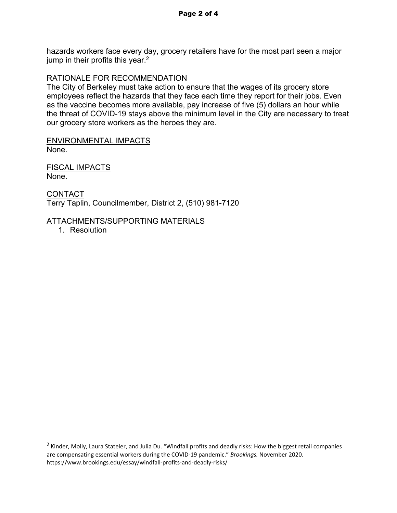hazards workers face every day, grocery retailers have for the most part seen a major jump in their profits this year.<sup>2</sup>

### RATIONALE FOR RECOMMENDATION

The City of Berkeley must take action to ensure that the wages of its grocery store employees reflect the hazards that they face each time they report for their jobs. Even as the vaccine becomes more available, pay increase of five (5) dollars an hour while the threat of COVID-19 stays above the minimum level in the City are necessary to treat our grocery store workers as the heroes they are.

ENVIRONMENTAL IMPACTS None.

FISCAL IMPACTS None.

CONTACT Terry Taplin, Councilmember, District 2, (510) 981-7120

### ATTACHMENTS/SUPPORTING MATERIALS

1. Resolution

<sup>&</sup>lt;sup>2</sup> Kinder, Molly, Laura Stateler, and Julia Du. "Windfall profits and deadly risks: How the biggest retail companies are compensating essential workers during the COVID-19 pandemic." *Brookings.* November 2020. https://www.brookings.edu/essay/windfall-profits-and-deadly-risks/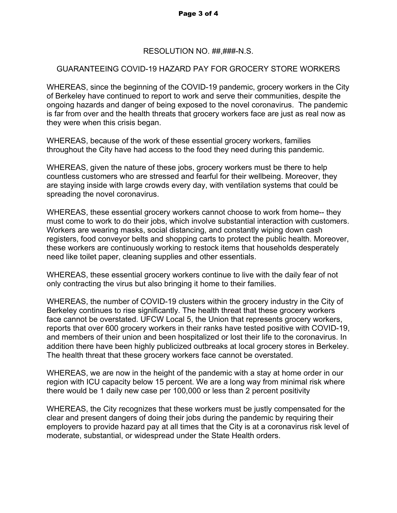## RESOLUTION NO. ##,###-N.S.

# GUARANTEEING COVID-19 HAZARD PAY FOR GROCERY STORE WORKERS

WHEREAS, since the beginning of the COVID-19 pandemic, grocery workers in the City of Berkeley have continued to report to work and serve their communities, despite the ongoing hazards and danger of being exposed to the novel coronavirus. The pandemic is far from over and the health threats that grocery workers face are just as real now as they were when this crisis began.

WHEREAS, because of the work of these essential grocery workers, families throughout the City have had access to the food they need during this pandemic.

WHEREAS, given the nature of these jobs, grocery workers must be there to help countless customers who are stressed and fearful for their wellbeing. Moreover, they are staying inside with large crowds every day, with ventilation systems that could be spreading the novel coronavirus.

WHEREAS, these essential grocery workers cannot choose to work from home-- they must come to work to do their jobs, which involve substantial interaction with customers. Workers are wearing masks, social distancing, and constantly wiping down cash registers, food conveyor belts and shopping carts to protect the public health. Moreover, these workers are continuously working to restock items that households desperately need like toilet paper, cleaning supplies and other essentials.

WHEREAS, these essential grocery workers continue to live with the daily fear of not only contracting the virus but also bringing it home to their families.

WHEREAS, the number of COVID-19 clusters within the grocery industry in the City of Berkeley continues to rise significantly. The health threat that these grocery workers face cannot be overstated. UFCW Local 5, the Union that represents grocery workers, reports that over 600 grocery workers in their ranks have tested positive with COVID-19, and members of their union and been hospitalized or lost their life to the coronavirus. In addition there have been highly publicized outbreaks at local grocery stores in Berkeley. The health threat that these grocery workers face cannot be overstated.

WHEREAS, we are now in the height of the pandemic with a stay at home order in our region with ICU capacity below 15 percent. We are a long way from minimal risk where there would be 1 daily new case per 100,000 or less than 2 percent positivity

WHEREAS, the City recognizes that these workers must be justly compensated for the clear and present dangers of doing their jobs during the pandemic by requiring their employers to provide hazard pay at all times that the City is at a coronavirus risk level of moderate, substantial, or widespread under the State Health orders.